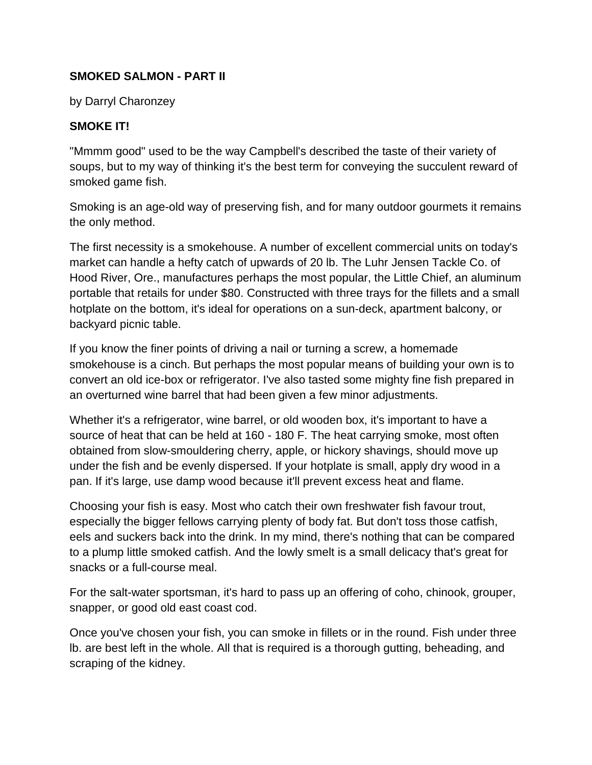## **SMOKED SALMON - PART II**

by Darryl Charonzey

## **SMOKE IT!**

"Mmmm good" used to be the way Campbell's described the taste of their variety of soups, but to my way of thinking it's the best term for conveying the succulent reward of smoked game fish.

Smoking is an age-old way of preserving fish, and for many outdoor gourmets it remains the only method.

The first necessity is a smokehouse. A number of excellent commercial units on today's market can handle a hefty catch of upwards of 20 lb. The Luhr Jensen Tackle Co. of Hood River, Ore., manufactures perhaps the most popular, the Little Chief, an aluminum portable that retails for under \$80. Constructed with three trays for the fillets and a small hotplate on the bottom, it's ideal for operations on a sun-deck, apartment balcony, or backyard picnic table.

If you know the finer points of driving a nail or turning a screw, a homemade smokehouse is a cinch. But perhaps the most popular means of building your own is to convert an old ice-box or refrigerator. I've also tasted some mighty fine fish prepared in an overturned wine barrel that had been given a few minor adjustments.

Whether it's a refrigerator, wine barrel, or old wooden box, it's important to have a source of heat that can be held at 160 - 180 F. The heat carrying smoke, most often obtained from slow-smouldering cherry, apple, or hickory shavings, should move up under the fish and be evenly dispersed. If your hotplate is small, apply dry wood in a pan. If it's large, use damp wood because it'll prevent excess heat and flame.

Choosing your fish is easy. Most who catch their own freshwater fish favour trout, especially the bigger fellows carrying plenty of body fat. But don't toss those catfish, eels and suckers back into the drink. In my mind, there's nothing that can be compared to a plump little smoked catfish. And the lowly smelt is a small delicacy that's great for snacks or a full-course meal.

For the salt-water sportsman, it's hard to pass up an offering of coho, chinook, grouper, snapper, or good old east coast cod.

Once you've chosen your fish, you can smoke in fillets or in the round. Fish under three lb. are best left in the whole. All that is required is a thorough gutting, beheading, and scraping of the kidney.